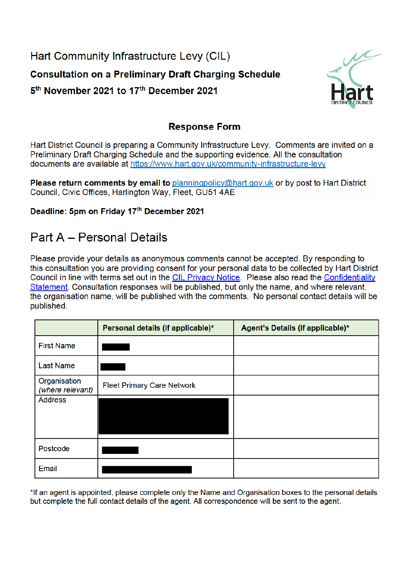Hart Community Infrastructure Levy (CIL) **Consultation on a Preliminary Draft Charging Schedule** 5<sup>th</sup> November 2021 to 17<sup>th</sup> December 2021



## **Response Form**

Hart District Council is preparing a Community Infrastructure Levy. Comments are invited on a Preliminary Draft Charging Schedule and the supporting evidence. All the consultation documents are available at https://www.hart.gov.uk/community-infrastructure-levy

**Please return comments by email to planningpolicy@hart.gov.uk or by post to Hart District** Council, Civic Offices, Harlington Way, Fleet, GU51 4AE

Deadline: 5pm on Friday 17th December 2021

## **Part A - Personal Details**

Please provide your details as anonymous comments cannot be accepted. By responding to this consultation you are providing consent for your personal data to be collected by Hart District Council in line with terms set out in the CIL Privacy Notice. Please also read the Confidentiality Statement. Consultation responses will be published, but only the name, and where relevant, the organisation name, will be published with the comments. No personal contact details will be published.

|                                  | Personal details (if applicable)* | Agent's Details (if applicable)* |
|----------------------------------|-----------------------------------|----------------------------------|
| <b>First Name</b>                |                                   |                                  |
| <b>Last Name</b>                 |                                   |                                  |
| Organisation<br>(where relevant) | <b>Fleet Primary Care Network</b> |                                  |
| <b>Address</b>                   |                                   |                                  |
| Postcode                         |                                   |                                  |
| Email                            |                                   |                                  |

\*If an agent is appointed, please complete only the Name and Organisation boxes to the personal details but complete the full contact details of the agent. All correspondence will be sent to the agent.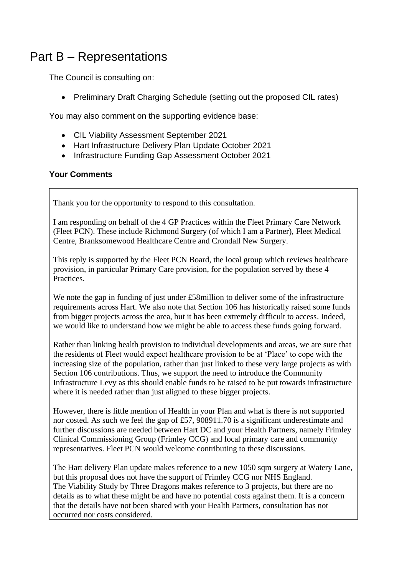## Part B – Representations

The Council is consulting on:

• Preliminary Draft Charging Schedule (setting out the proposed CIL rates)

You may also comment on the supporting evidence base:

- CIL Viability Assessment September 2021
- Hart Infrastructure Delivery Plan Update October 2021
- Infrastructure Funding Gap Assessment October 2021

## **Your Comments**

Thank you for the opportunity to respond to this consultation.

I am responding on behalf of the 4 GP Practices within the Fleet Primary Care Network (Fleet PCN). These include Richmond Surgery (of which I am a Partner), Fleet Medical Centre, Branksomewood Healthcare Centre and Crondall New Surgery.

This reply is supported by the Fleet PCN Board, the local group which reviews healthcare provision, in particular Primary Care provision, for the population served by these 4 Practices.

We note the gap in funding of just under £58 million to deliver some of the infrastructure requirements across Hart. We also note that Section 106 has historically raised some funds from bigger projects across the area, but it has been extremely difficult to access. Indeed, we would like to understand how we might be able to access these funds going forward.

Rather than linking health provision to individual developments and areas, we are sure that the residents of Fleet would expect healthcare provision to be at 'Place' to cope with the increasing size of the population, rather than just linked to these very large projects as with Section 106 contributions. Thus, we support the need to introduce the Community Infrastructure Levy as this should enable funds to be raised to be put towards infrastructure where it is needed rather than just aligned to these bigger projects.

However, there is little mention of Health in your Plan and what is there is not supported nor costed. As such we feel the gap of £57, 908911.70 is a significant underestimate and further discussions are needed between Hart DC and your Health Partners, namely Frimley Clinical Commissioning Group (Frimley CCG) and local primary care and community representatives. Fleet PCN would welcome contributing to these discussions.

The Hart delivery Plan update makes reference to a new 1050 sqm surgery at Watery Lane, but this proposal does not have the support of Frimley CCG nor NHS England. The Viability Study by Three Dragons makes reference to 3 projects, but there are no details as to what these might be and have no potential costs against them. It is a concern that the details have not been shared with your Health Partners, consultation has not occurred nor costs considered.